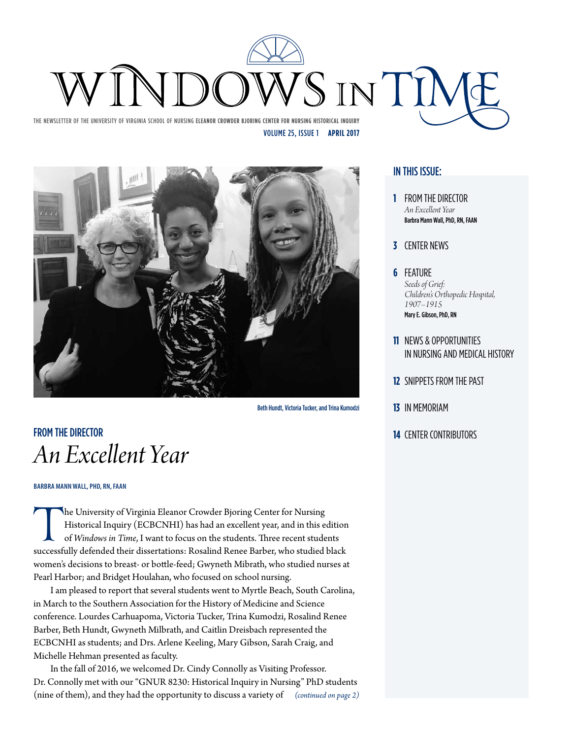# SINTIN

The Newsletter of the University of Virginia School of Nursing **Eleanor Crowder Bjoring Center for Nursing Historical Inquiry** Volume 25, Issue 1 **April 2017**



Beth Hundt, Victoria Tucker, and Trina Kumodzi

# **14** CENTER CONTRIBUTORS *An Excellent Year*

#### **Barbra Mann Wall, PhD, RN, FAAN**

The University of Virginia Eleanor Crowder Bjoring Center for Nursing<br>Historical Inquiry (ECBCNHI) has had an excellent year, and in this edition<br>of *Windows in Time*, I want to focus on the students. Three recent students Historical Inquiry (ECBCNHI) has had an excellent year, and in this edition of *Windows in Time*, I want to focus on the students. Three recent students women's decisions to breast- or bottle-feed; Gwyneth Mibrath, who studied nurses at Pearl Harbor; and Bridget Houlahan, who focused on school nursing.

I am pleased to report that several students went to Myrtle Beach, South Carolina, in March to the Southern Association for the History of Medicine and Science conference. Lourdes Carhuapoma, Victoria Tucker, Trina Kumodzi, Rosalind Renee Barber, Beth Hundt, Gwyneth Milbrath, and Caitlin Dreisbach represented the ECBCNHI as students; and Drs. Arlene Keeling, Mary Gibson, Sarah Craig, and Michelle Hehman presented as faculty.

In the fall of 2016, we welcomed Dr. Cindy Connolly as Visiting Professor. Dr. Connolly met with our "GNUR 8230: Historical Inquiry in Nursing" PhD students (nine of them), and they had the opportunity to discuss a variety of *(continued on page 2)*

#### In this issue:

- **1** From the Director *An Excellent Year* Barbra Mann Wall, PhD, RN, FAAN
- **3** Center News
- **6** Feature *Seeds of Grief: Children's Orthopedic Hospital, 1907–1915* Mary E. Gibson, PhD, RN
- **11** News & Opportunities in Nursing and Medical History
- **12** Snippets from the Past
- **13** In Memoriam
-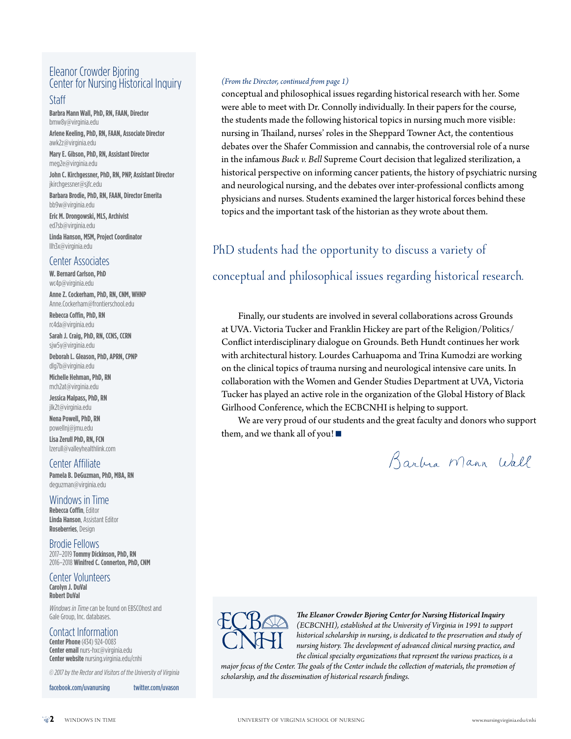#### Eleanor Crowder Bjoring Center for Nursing Historical Inquiry

#### Staff

**Barbra Mann Wall, PhD, RN, FAAN, Director** bmw8y@virginia.edu

**Arlene Keeling, PhD, RN, FAAN, Associate Director** awk2z@virginia.edu

**Mary E. Gibson, PhD, RN, Assistant Director** meg2e@virginia.edu

**John C. Kirchgessner, PhD, RN, PNP, Assistant Director** jkirchgessner@sjfc.edu

**Barbara Brodie, PhD, RN, FAAN, Director Emerita** bb9w@virginia.edu

**Eric M. Drongowski, MLS, Archivist** ed7sb@virginia.edu

**Linda Hanson, MSM, Project Coordinator** llh3x@virginia.edu

#### Center Associates

**W. Bernard Carlson, PhD** wc4p@virginia.edu

**Anne Z. Cockerham, PhD, RN, CNM, WHNP** Anne.Cockerham@frontierschool.edu

**Rebecca Coffin, PhD, RN** rc4da@virginia.edu

**Sarah J. Craig, PhD, RN, CCNS, CCRN** sjw5y@virginia.edu

**Deborah L. Gleason, PhD, APRN, CPNP** dlg7b@virginia.edu

**Michelle Hehman, PhD, RN** mch2at@virginia.edu

**Jessica Malpass, PhD, RN** jlk2t@virginia.edu

**Nena Powell, PhD, RN** powellnj@jmu.edu

**Lisa Zerull PhD, RN, FCN** lzerull@valleyhealthlink.com

Center Affiliate **Pamela B. DeGuzman, PhD, MBA, RN** deguzman@virginia.edu

Windows in Time **Rebecca Coffin**, Editor **Linda Hanson**, Assistant Editor **Roseberries**, Design

Brodie Fellows 2017–2019 **Tommy Dickinson, PhD, RN** 2016–2018 **Winifred C. Connerton, PhD, CNM**

Center Volunteers **Carolyn J. DuVal Robert DuVal**

*Windows in Time*can be found on EBSCOhost and Gale Group, Inc. databases.

#### Contact Information

**Center Phone** (434) 924-0083 **Center email** nurs-hxc@virginia.edu **Center website** nursing.virginia.edu/cnhi

*© 2017 by the Rector and Visitors of the University of Virginia*

facebook.com/uvanursing twitter.com/uvason

#### *(From the Director, continued from page 1)*

conceptual and philosophical issues regarding historical research with her. Some were able to meet with Dr. Connolly individually. In their papers for the course, the students made the following historical topics in nursing much more visible: nursing in Thailand, nurses' roles in the Sheppard Towner Act, the contentious debates over the Shafer Commission and cannabis, the controversial role of a nurse in the infamous *Buck v. Bell* Supreme Court decision that legalized sterilization, a historical perspective on informing cancer patients, the history of psychiatric nursing and neurological nursing, and the debates over inter-professional conflicts among physicians and nurses. Students examined the larger historical forces behind these topics and the important task of the historian as they wrote about them.

## PhD students had the opportunity to discuss a variety of

#### conceptual and philosophical issues regarding historical research.

Finally, our students are involved in several collaborations across Grounds at UVA. Victoria Tucker and Franklin Hickey are part of the Religion/Politics/ Conflict interdisciplinary dialogue on Grounds. Beth Hundt continues her work with architectural history. Lourdes Carhuapoma and Trina Kumodzi are working on the clinical topics of trauma nursing and neurological intensive care units. In collaboration with the Women and Gender Studies Department at UVA, Victoria Tucker has played an active role in the organization of the Global History of Black Girlhood Conference, which the ECBCNHI is helping to support.

We are very proud of our students and the great faculty and donors who support them, and we thank all of you!

Barbia Mann Wall



*The Eleanor Crowder Bjoring Center for Nursing Historical Inquiry (ECBCNHI), established at the University of Virginia in 1991 to support historical scholarship in nursing, is dedicated to the preservation and study of nursing history. The development of advanced clinical nursing practice, and the clinical specialty organizations that represent the various practices, is a* 

*major focus of the Center. The goals of the Center include the collection of materials, the promotion of scholarship, and the dissemination of historical research findings.*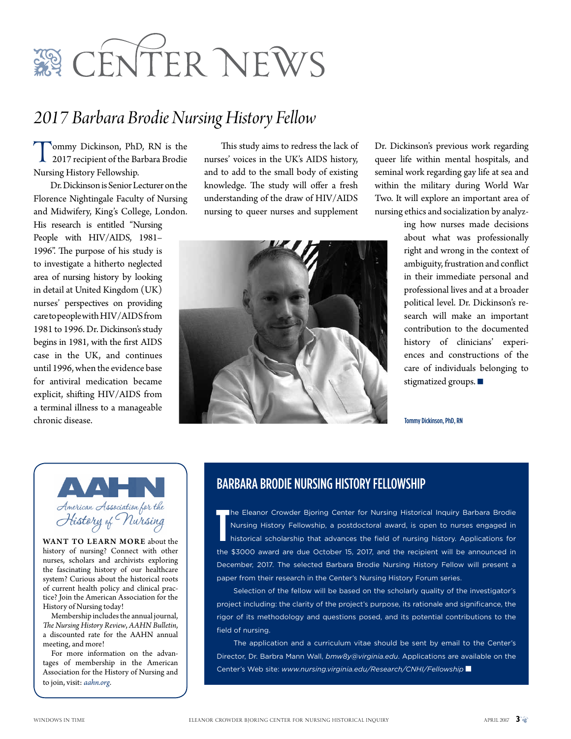

# *2017 Barbara Brodie Nursing History Fellow*

Tommy Dickinson, PhD, RN is the 2017 recipient of the Barbara Brodie Nursing History Fellowship.

Dr. Dickinson is Senior Lecturer on the Florence Nightingale Faculty of Nursing and Midwifery, King's College, London. His research is entitled "Nursing People with HIV/AIDS, 1981– 1996". The purpose of his study is to investigate a hitherto neglected area of nursing history by looking in detail at United Kingdom (UK) nurses' perspectives on providing care to people with HIV/AIDS from 1981 to 1996. Dr. Dickinson's study begins in 1981, with the first AIDS case in the UK, and continues until 1996, when the evidence base for antiviral medication became explicit, shifting HIV/AIDS from a terminal illness to a manageable chronic disease.

This study aims to redress the lack of nurses' voices in the UK's AIDS history, and to add to the small body of existing knowledge. The study will offer a fresh understanding of the draw of HIV/AIDS nursing to queer nurses and supplement



Dr. Dickinson's previous work regarding queer life within mental hospitals, and seminal work regarding gay life at sea and within the military during World War Two. It will explore an important area of nursing ethics and socialization by analyz-

> ing how nurses made decisions about what was professionally right and wrong in the context of ambiguity, frustration and conflict in their immediate personal and professional lives and at a broader political level. Dr. Dickinson's research will make an important contribution to the documented history of clinicians' experiences and constructions of the care of individuals belonging to stigmatized groups.  $\blacksquare$

Tommy Dickinson, PhD, RN

American Association for the History of Nursing

WANT TO LEARN MORE about the history of nursing? Connect with other nurses, scholars and archivists exploring the fascinating history of our healthcare system? Curious about the historical roots of current health policy and clinical practice? Join the American Association for the History of Nursing today!

Membership includes the annual journal, *The Nursing History Review*, *AAHN Bulletin*, a discounted rate for the AAHN annual meeting, and more!

For more information on the advantages of membership in the American Association for the History of Nursing and to join, visit: *aahn.org*.

#### Barbara Brodie Nursing History Fellowship

**T** he Eleanor Crowder Bjoring Center for Nursing Historical Inquiry Barbara Brodie Nursing History Fellowship, a postdoctoral award, is open to nurses engaged in historical scholarship that advances the field of nursing history. Applications for the \$3000 award are due October 15, 2017, and the recipient will be announced in December, 2017. The selected Barbara Brodie Nursing History Fellow will present a paper from their research in the Center's Nursing History Forum series.

Selection of the fellow will be based on the scholarly quality of the investigator's project including: the clarity of the project's purpose, its rationale and significance, the rigor of its methodology and questions posed, and its potential contributions to the field of nursing.

The application and a curriculum vitae should be sent by email to the Center's Director, Dr. Barbra Mann Wall, *bmw8y@virginia.edu*. Applications are available on the Center's Web site: www.nursing.virginia.edu/Research/CNHI/Fellowship ■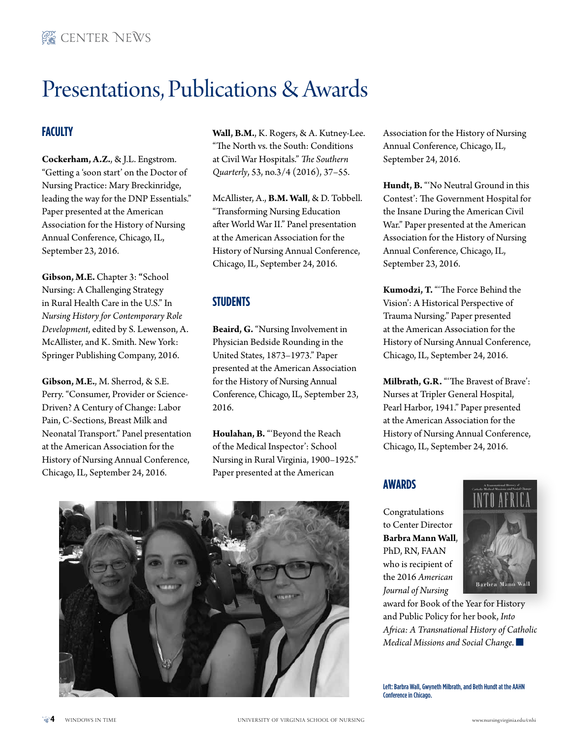# Presentations, Publications & Awards

## **Faculty**

**Cockerham, A.Z.**, & J.L. Engstrom. "Getting a 'soon start' on the Doctor of Nursing Practice: Mary Breckinridge, leading the way for the DNP Essentials." Paper presented at the American Association for the History of Nursing Annual Conference, Chicago, IL, September 23, 2016.

**Gibson, M.E.** Chapter 3: **"**School Nursing: A Challenging Strategy in Rural Health Care in the U.S." In *Nursing History for Contemporary Role Development*, edited by S. Lewenson, A. McAllister, and K. Smith. New York: Springer Publishing Company, 2016.

**Gibson, M.E.**, M. Sherrod, & S.E. Perry. "Consumer, Provider or Science-Driven? A Century of Change: Labor Pain, C-Sections, Breast Milk and Neonatal Transport." Panel presentation at the American Association for the History of Nursing Annual Conference, Chicago, IL, September 24, 2016.

**Wall, B.M.**, K. Rogers, & A. Kutney-Lee. "The North vs. the South: Conditions at Civil War Hospitals." *The Southern Quarterly*, 53, no.3/4 (2016), 37–55.

McAllister, A., **B.M. Wall**, & D. Tobbell. "Transforming Nursing Education after World War II." Panel presentation at the American Association for the History of Nursing Annual Conference, Chicago, IL, September 24, 2016.

## **Students**

**Beaird, G.** "Nursing Involvement in Physician Bedside Rounding in the United States, 1873–1973." Paper presented at the American Association for the History of Nursing Annual Conference, Chicago, IL, September 23, 2016.

**Houlahan, B.** "'Beyond the Reach of the Medical Inspector': School Nursing in Rural Virginia, 1900–1925." Paper presented at the American



Association for the History of Nursing Annual Conference, Chicago, IL, September 24, 2016.

**Hundt, B.** "'No Neutral Ground in this Contest': The Government Hospital for the Insane During the American Civil War." Paper presented at the American Association for the History of Nursing Annual Conference, Chicago, IL, September 23, 2016.

**Kumodzi, T.** "'The Force Behind the Vision': A Historical Perspective of Trauma Nursing." Paper presented at the American Association for the History of Nursing Annual Conference, Chicago, IL, September 24, 2016.

**Milbrath, G.R.** "'The Bravest of Brave': Nurses at Tripler General Hospital, Pearl Harbor, 1941." Paper presented at the American Association for the History of Nursing Annual Conference, Chicago, IL, September 24, 2016.

#### **Awards**

Congratulations to Center Director **Barbra Mann Wall**, PhD, RN, FAAN who is recipient of the 2016 *American Journal of Nursing*



award for Book of the Year for History and Public Policy for her book, *Into Africa: A Transnational History of Catholic Medical Missions and Social Change.* 

Left: Barbra Wall, Gwyneth Milbrath, and Beth Hundt at the AAHN Conference in Chicago.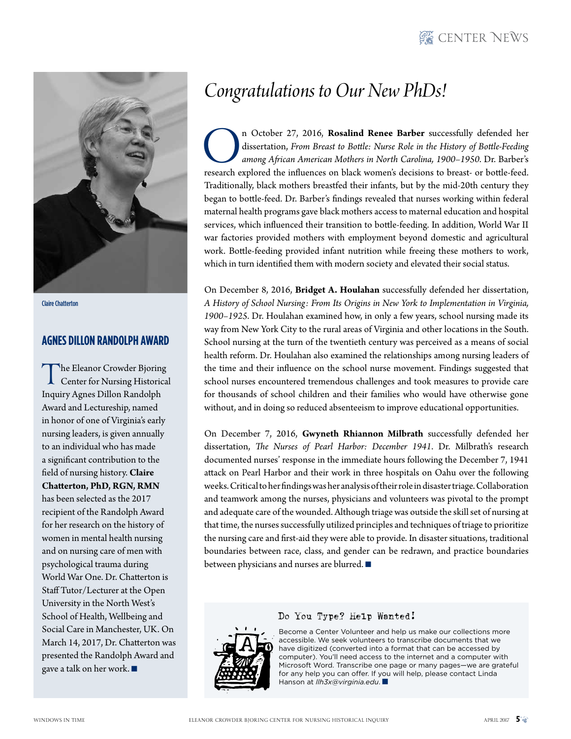# **WE CENTER NEWS**



Claire Chatterton

#### **Agnes Dillon Randolph Award**

The Eleanor Crowder Bjoring<br>Center for Nursing Historical Inquiry Agnes Dillon Randolph Award and Lectureship, named in honor of one of Virginia's early nursing leaders, is given annually to an individual who has made a significant contribution to the field of nursing history. **Claire Chatterton, PhD, RGN, RMN** has been selected as the 2017 recipient of the Randolph Award for her research on the history of women in mental health nursing and on nursing care of men with psychological trauma during World War One. Dr. Chatterton is Staff Tutor/Lecturer at the Open University in the North West's School of Health, Wellbeing and Social Care in Manchester, UK. On March 14, 2017, Dr. Chatterton was presented the Randolph Award and gave a talk on her work.  $\blacksquare$ 

# *Congratulations to Our New PhDs!*

In October 27, 2016, **Rosalind Renee Barber** successfully defended her dissertation, *From Breast to Bottle: Nurse Role in the History of Bottle-Feeding among African American Mothers in North Carolina, 1900–1950. Dr. Barb* dissertation, *From Breast to Bottle: Nurse Role in the History of Bottle-Feeding among African American Mothers in North Carolina, 1900–1950*. Dr. Barber's research explored the influences on black women's decisions to breast- or bottle-feed. Traditionally, black mothers breastfed their infants, but by the mid-20th century they began to bottle-feed. Dr. Barber's findings revealed that nurses working within federal maternal health programs gave black mothers access to maternal education and hospital services, which influenced their transition to bottle-feeding. In addition, World War II war factories provided mothers with employment beyond domestic and agricultural work. Bottle-feeding provided infant nutrition while freeing these mothers to work, which in turn identified them with modern society and elevated their social status.

On December 8, 2016, **Bridget A. Houlahan** successfully defended her dissertation, *A History of School Nursing: From Its Origins in New York to Implementation in Virginia, 1900–1925*. Dr. Houlahan examined how, in only a few years, school nursing made its way from New York City to the rural areas of Virginia and other locations in the South. School nursing at the turn of the twentieth century was perceived as a means of social health reform. Dr. Houlahan also examined the relationships among nursing leaders of the time and their influence on the school nurse movement. Findings suggested that school nurses encountered tremendous challenges and took measures to provide care for thousands of school children and their families who would have otherwise gone without, and in doing so reduced absenteeism to improve educational opportunities.

On December 7, 2016, **Gwyneth Rhiannon Milbrath** successfully defended her dissertation, *The Nurses of Pearl Harbor: December 1941*. Dr. Milbrath's research documented nurses' response in the immediate hours following the December 7, 1941 attack on Pearl Harbor and their work in three hospitals on Oahu over the following weeks. Critical to her findings was her analysis of their role in disaster triage. Collaboration and teamwork among the nurses, physicians and volunteers was pivotal to the prompt and adequate care of the wounded. Although triage was outside the skill set of nursing at that time, the nurses successfully utilized principles and techniques of triage to prioritize the nursing care and first-aid they were able to provide. In disaster situations, traditional boundaries between race, class, and gender can be redrawn, and practice boundaries between physicians and nurses are blurred.  $\blacksquare$ 



#### Do You Type? Help Wanted!

Become a Center Volunteer and help us make our collections more accessible. We seek volunteers to transcribe documents that we have digitized (converted into a format that can be accessed by computer). You'll need access to the internet and a computer with Microsoft Word. Transcribe one page or many pages—we are grateful for any help you can offer. If you will help, please contact Linda Hanson at *llh3x@virginia.edu*. n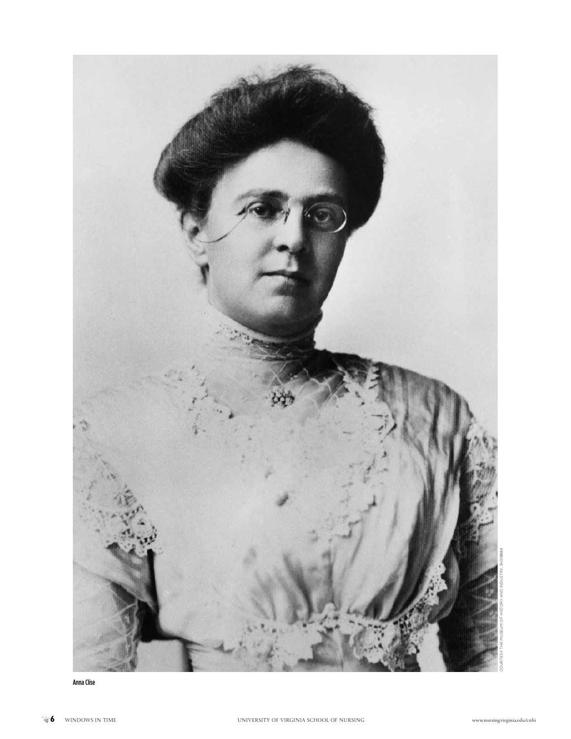

Anna Clise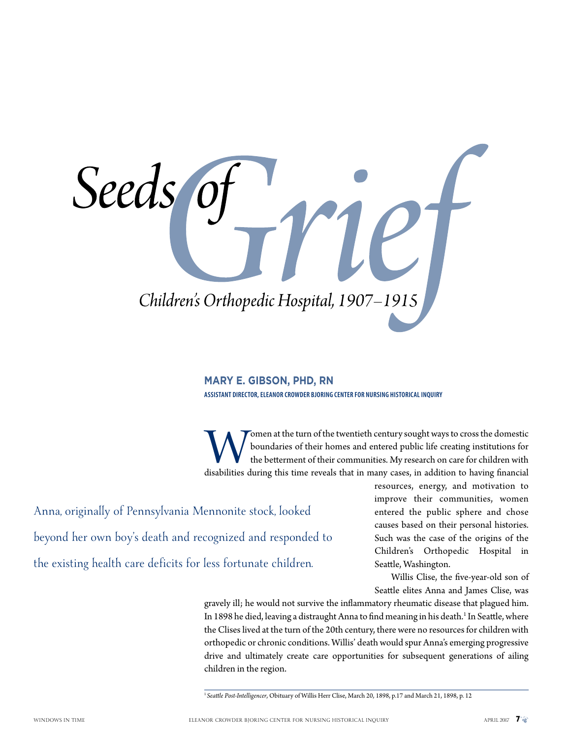Seeds Children's Orthopedic Hospital, 1907-1915

#### **Mary E. Gibson, PhD, RN**

**Assistant Director, Eleanor Crowder Bjoring Center for Nursing Historical Inquiry**

Women at the turn of the twentieth century sought ways to cross the domestic boundaries of their homes and entered public life creating institutions for the betterment of their communities. My research on care for children boundaries of their homes and entered public life creating institutions for the betterment of their communities. My research on care for children with

Anna, originally of Pennsylvania Mennonite stock, looked beyond her own boy's death and recognized and responded to the existing health care deficits for less fortunate children.

resources, energy, and motivation to improve their communities, women entered the public sphere and chose causes based on their personal histories. Such was the case of the origins of the Children's Orthopedic Hospital in Seattle, Washington.

Willis Clise, the five-year-old son of Seattle elites Anna and James Clise, was

gravely ill; he would not survive the inflammatory rheumatic disease that plagued him. In 1898 he died, leaving a distraught Anna to find meaning in his death.<sup>1</sup> In Seattle, where the Clises lived at the turn of the 20th century, there were no resources for children with orthopedic or chronic conditions. Willis' death would spur Anna's emerging progressive drive and ultimately create care opportunities for subsequent generations of ailing children in the region.

<sup>1</sup>*Seattle Post-Intelligencer*, Obituary of Willis Herr Clise, March 20, 1898, p.17 and March 21, 1898, p. 12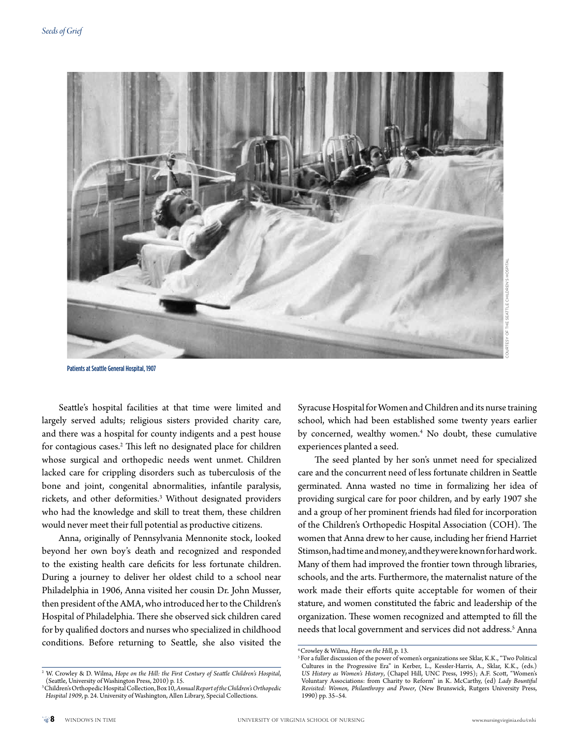

Patients at Seattle General Hospital, 1907

Seattle's hospital facilities at that time were limited and largely served adults; religious sisters provided charity care, and there was a hospital for county indigents and a pest house for contagious cases.2 This left no designated place for children whose surgical and orthopedic needs went unmet. Children lacked care for crippling disorders such as tuberculosis of the bone and joint, congenital abnormalities, infantile paralysis, rickets, and other deformities.<sup>3</sup> Without designated providers who had the knowledge and skill to treat them, these children would never meet their full potential as productive citizens.

Anna, originally of Pennsylvania Mennonite stock, looked beyond her own boy's death and recognized and responded to the existing health care deficits for less fortunate children. During a journey to deliver her oldest child to a school near Philadelphia in 1906, Anna visited her cousin Dr. John Musser, then president of the AMA, who introduced her to the Children's Hospital of Philadelphia. There she observed sick children cared for by qualified doctors and nurses who specialized in childhood conditions. Before returning to Seattle, she also visited the

Syracuse Hospital for Women and Children and its nurse training school, which had been established some twenty years earlier by concerned, wealthy women.4 No doubt, these cumulative experiences planted a seed.

The seed planted by her son's unmet need for specialized care and the concurrent need of less fortunate children in Seattle germinated. Anna wasted no time in formalizing her idea of providing surgical care for poor children, and by early 1907 she and a group of her prominent friends had filed for incorporation of the Children's Orthopedic Hospital Association (COH). The women that Anna drew to her cause, including her friend Harriet Stimson, had time and money, and they were known for hard work. Many of them had improved the frontier town through libraries, schools, and the arts. Furthermore, the maternalist nature of the work made their efforts quite acceptable for women of their stature, and women constituted the fabric and leadership of the organization. These women recognized and attempted to fill the needs that local government and services did not address.5 Anna

<sup>4</sup> Crowley & Wilma, *Hope on the Hill*, p. 13.

<sup>&</sup>lt;sup>5</sup> For a fuller discussion of the power of women's organizations see Sklar, K.K., "Two Political Cultures in the Progressive Era" in Kerber, L., Kessler-Harris, A., Sklar, K.K., (eds.) *US History as Women's History*, (Chapel Hill, UNC Press, 1995); A.F. Scott, "Women's Voluntary Associations: from Charity to Reform" in K. McCarthy, (ed) *Lady Bountiful Revisited: Women, Philanthropy and Power*, (New Brunswick, Rutgers University Press, 1990) pp. 35–54.

<sup>2</sup> W. Crowley & D. Wilma, *Hope on the Hill: the First Century of Seattle Children's Hospital*, (Seattle, University of Washington Press, 2010) p. 15.

<sup>3</sup> Children's Orthopedic Hospital Collection, Box 10, *Annual Report of the Children's Orthopedic Hospital 1909*, p. 24. University of Washington, Allen Library, Special Collections.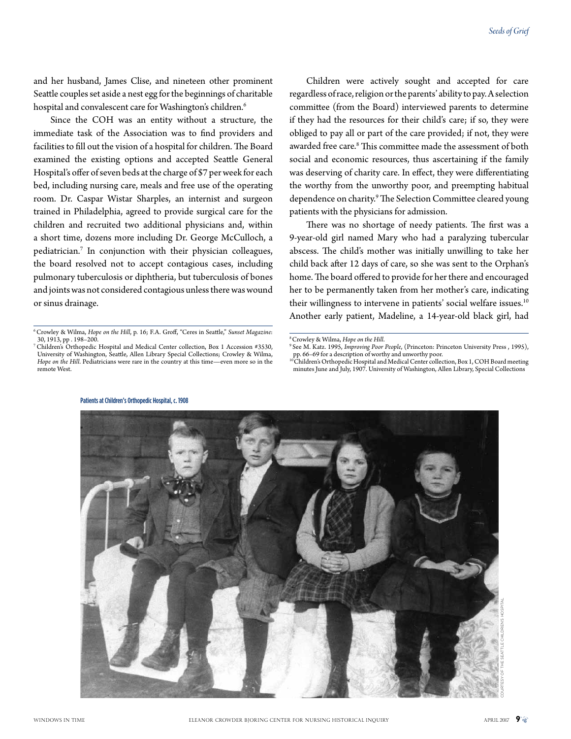and her husband, James Clise, and nineteen other prominent Seattle couples set aside a nest egg for the beginnings of charitable hospital and convalescent care for Washington's children.<sup>6</sup>

Since the COH was an entity without a structure, the immediate task of the Association was to find providers and facilities to fill out the vision of a hospital for children. The Board examined the existing options and accepted Seattle General Hospital's offer of seven beds at the charge of \$7 per week for each bed, including nursing care, meals and free use of the operating room. Dr. Caspar Wistar Sharples, an internist and surgeon trained in Philadelphia, agreed to provide surgical care for the children and recruited two additional physicians and, within a short time, dozens more including Dr. George McCulloch, a pediatrician.7 In conjunction with their physician colleagues, the board resolved not to accept contagious cases, including pulmonary tuberculosis or diphtheria, but tuberculosis of bones and joints was not considered contagious unless there was wound or sinus drainage.

Children were actively sought and accepted for care regardless of race, religion or the parents' ability to pay. A selection committee (from the Board) interviewed parents to determine if they had the resources for their child's care; if so, they were obliged to pay all or part of the care provided; if not, they were awarded free care.<sup>8</sup> This committee made the assessment of both social and economic resources, thus ascertaining if the family was deserving of charity care. In effect, they were differentiating the worthy from the unworthy poor, and preempting habitual dependence on charity.<sup>9</sup> The Selection Committee cleared young patients with the physicians for admission.

There was no shortage of needy patients. The first was a 9-year-old girl named Mary who had a paralyzing tubercular abscess. The child's mother was initially unwilling to take her child back after 12 days of care, so she was sent to the Orphan's home. The board offered to provide for her there and encouraged her to be permanently taken from her mother's care, indicating their willingness to intervene in patients' social welfare issues.<sup>10</sup> Another early patient, Madeline, a 14-year-old black girl, had

<sup>&</sup>lt;sup>10</sup> Children's Orthopedic Hospital and Medical Center collection, Box 1, COH Board meeting minutes June and July, 1907. University of Washington, Allen Library, Special Collections



Patients at Children's Orthopedic Hospital, c. 1908

<sup>6</sup> Crowley & Wilma, *Hope on the Hill*, p. 16; F.A. Groff, "Ceres in Seattle," *Sunset Magazine*: 30, 1913, pp . 198–200.

<sup>7</sup> Children's Orthopedic Hospital and Medical Center collection, Box 1 Accession #3530, University of Washington, Seattle, Allen Library Special Collections; Crowley & Wilma, *Hope on the Hill*. Pediatricians were rare in the country at this time—even more so in the remote West.

<sup>8</sup> Crowley & Wilma, *Hope on the Hill*.

<sup>9</sup> See M. Katz. 1995, *Improving Poor People*, (Princeton: Princeton University Press , 1995), pp. 66–69 for a description of worthy and unworthy poor.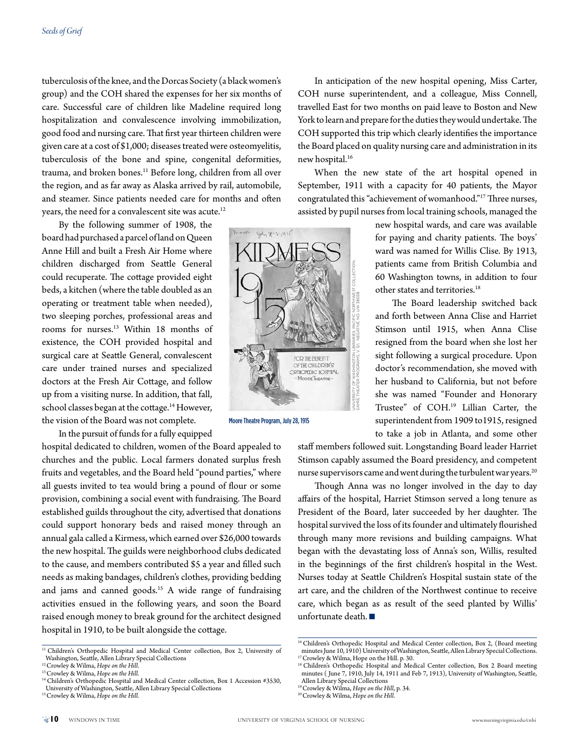tuberculosis of the knee, and the Dorcas Society (a black women's group) and the COH shared the expenses for her six months of care. Successful care of children like Madeline required long hospitalization and convalescence involving immobilization, good food and nursing care. That first year thirteen children were given care at a cost of \$1,000; diseases treated were osteomyelitis, tuberculosis of the bone and spine, congenital deformities, trauma, and broken bones.<sup>11</sup> Before long, children from all over the region, and as far away as Alaska arrived by rail, automobile, and steamer. Since patients needed care for months and often years, the need for a convalescent site was acute.<sup>12</sup>

By the following summer of 1908, the board had purchased a parcel of land on Queen Anne Hill and built a Fresh Air Home where children discharged from Seattle General could recuperate. The cottage provided eight beds, a kitchen (where the table doubled as an operating or treatment table when needed), two sleeping porches, professional areas and rooms for nurses.13 Within 18 months of existence, the COH provided hospital and surgical care at Seattle General, convalescent care under trained nurses and specialized doctors at the Fresh Air Cottage, and follow up from a visiting nurse. In addition, that fall, school classes began at the cottage.<sup>14</sup> However, the vision of the Board was not complete.

In the pursuit of funds for a fully equipped

hospital dedicated to children, women of the Board appealed to churches and the public. Local farmers donated surplus fresh fruits and vegetables, and the Board held "pound parties," where all guests invited to tea would bring a pound of flour or some provision, combining a social event with fundraising. The Board established guilds throughout the city, advertised that donations could support honorary beds and raised money through an annual gala called a Kirmess, which earned over \$26,000 towards the new hospital. The guilds were neighborhood clubs dedicated to the cause, and members contributed \$5 a year and filled such needs as making bandages, children's clothes, providing bedding and jams and canned goods.<sup>15</sup> A wide range of fundraising activities ensued in the following years, and soon the Board raised enough money to break ground for the architect designed hospital in 1910, to be built alongside the cottage.

In anticipation of the new hospital opening, Miss Carter, COH nurse superintendent, and a colleague, Miss Connell, travelled East for two months on paid leave to Boston and New York to learn and prepare for the duties they would undertake. The COH supported this trip which clearly identifies the importance the Board placed on quality nursing care and administration in its new hospital.<sup>16</sup>

When the new state of the art hospital opened in September, 1911 with a capacity for 40 patients, the Mayor congratulated this "achievement of womanhood."17 Three nurses, assisted by pupil nurses from local training schools, managed the

other states and territories.<sup>18</sup>

new hospital wards, and care was available for paying and charity patients. The boys' ward was named for Willis Clise. By 1913, patients came from British Columbia and 60 Washington towns, in addition to four

The Board leadership switched back and forth between Anna Clise and Harriet Stimson until 1915, when Anna Clise resigned from the board when she lost her sight following a surgical procedure. Upon doctor's recommendation, she moved with her husband to California, but not before she was named "Founder and Honorary Trustee" of COH.19 Lillian Carter, the superintendent from 1909 to1915, resigned



Moore Theatre Program, July 28, 1915

to take a job in Atlanta, and some other staff members followed suit. Longstanding Board leader Harriet Stimson capably assumed the Board presidency, and competent nurse supervisors came and went during the turbulent war years.<sup>20</sup>

Though Anna was no longer involved in the day to day affairs of the hospital, Harriet Stimson served a long tenure as President of the Board, later succeeded by her daughter. The hospital survived the loss of its founder and ultimately flourished through many more revisions and building campaigns. What began with the devastating loss of Anna's son, Willis, resulted in the beginnings of the first children's hospital in the West. Nurses today at Seattle Children's Hospital sustain state of the art care, and the children of the Northwest continue to receive care, which began as as result of the seed planted by Willis' unfortunate death.  $\blacksquare$ 

<sup>&</sup>lt;sup>11</sup> Children's Orthopedic Hospital and Medical Center collection, Box 2, University of Washington, Seattle, Allen Library Special Collections

<sup>12</sup> Crowley & Wilma, *Hope on the Hill*.

<sup>13</sup> Crowley & Wilma, *Hope on the Hill*.

<sup>&</sup>lt;sup>14</sup> Children's Orthopedic Hospital and Medical Center collection, Box 1 Accession #3530, University of Washington, Seattle, Allen Library Special Collections

<sup>15</sup> Crowley & Wilma, *Hope on the Hill*.

<sup>&</sup>lt;sup>16</sup> Children's Orthopedic Hospital and Medical Center collection, Box 2, (Board meeting minutes June 10, 1910) University of Washington, Seattle, Allen Library Special Collections. <sup>17</sup> Crowley & Wilma, Hope on the Hill. p. 30.

<sup>&</sup>lt;sup>18</sup> Children's Orthopedic Hospital and Medical Center collection, Box 2 Board meeting minutes ( June 7, 1910, July 14, 1911 and Feb 7, 1913), University of Washington, Seattle, Allen Library Special Collections

<sup>19</sup> Crowley & Wilma, *Hope on the Hill*, p. 34.

<sup>20</sup> Crowley & Wilma, *Hope on the Hill*.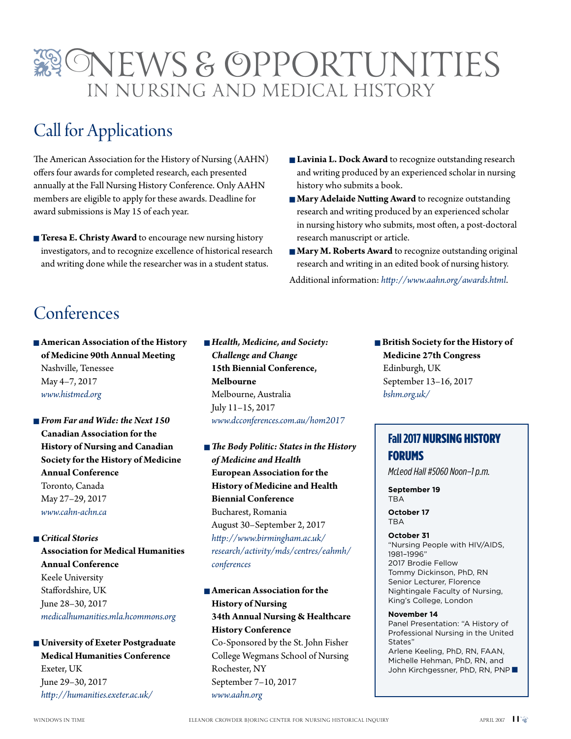# ONEWS & OPPORTUNITIES in Nursing and Medical History

# Call for Applications

The American Association for the History of Nursing (AAHN) offers four awards for completed research, each presented annually at the Fall Nursing History Conference. Only AAHN members are eligible to apply for these awards. Deadline for award submissions is May 15 of each year.

- **Teresa E. Christy Award** to encourage new nursing history investigators, and to recognize excellence of historical research and writing done while the researcher was in a student status.
- **Lavinia L. Dock Award** to recognize outstanding research and writing produced by an experienced scholar in nursing history who submits a book.
- **n Mary Adelaide Nutting Award** to recognize outstanding research and writing produced by an experienced scholar in nursing history who submits, most often, a post-doctoral research manuscript or article.
- **Mary M. Roberts Award** to recognize outstanding original research and writing in an edited book of nursing history.

Additional information: *http://www.aahn.org/awards.html*.

# Conferences

 $\blacksquare$  **American Association of the History of Medicine 90th Annual Meeting** Nashville, Tenessee May 4–7, 2017 *www.histmed.org*

- *From Far and Wide: the Next 150* **Canadian Association for the History of Nursing and Canadian Society for the History of Medicine Annual Conference** Toronto, Canada May 27–29, 2017 *www.cahn-achn.ca*
- n *Critical Stories* **Association for Medical Humanities Annual Conference** Keele University Staffordshire, UK June 28–30, 2017 *medicalhumanities.mla.hcommons.org*

**n** University of Exeter Postgraduate **Medical Humanities Conference** Exeter, UK June 29–30, 2017 *http://humanities.exeter.ac.uk/*

- *Health, Medicine, and Society: Challenge and Change* **15th Biennial Conference, Melbourne** Melbourne, Australia July 11–15, 2017 *www.dcconferences.com.au/hom2017*
- *The Body Politic: States in the History of Medicine and Health* **European Association for the History of Medicine and Health Biennial Conference** Bucharest, Romania August 30–September 2, 2017 *http://www.birmingham.ac.uk/ research/activity/mds/centres/eahmh/ conferences*

**n** American Association for the **History of Nursing 34th Annual Nursing & Healthcare History Conference** Co-Sponsored by the St. John Fisher College Wegmans School of Nursing

Rochester, NY September 7–10, 2017 *www.aahn.org*

**n** British Society for the History of **Medicine 27th Congress** Edinburgh, UK September 13–16, 2017 *bshm.org.uk/*

## **Fall 2017** Nursing History Forums

*McLeod Hall #5060 Noon–1 p.m.*

**September 19 TRA** 

**October 17** TBA

#### **October 31**

"Nursing People with HIV/AIDS, 1981–1996" 2017 Brodie Fellow Tommy Dickinson, PhD, RN Senior Lecturer, Florence Nightingale Faculty of Nursing, King's College, London

#### **November 14**

Panel Presentation: "A History of Professional Nursing in the United States" Arlene Keeling, PhD, RN, FAAN, Michelle Hehman, PhD, RN, and John Kirchgessner, PhD, RN, PNP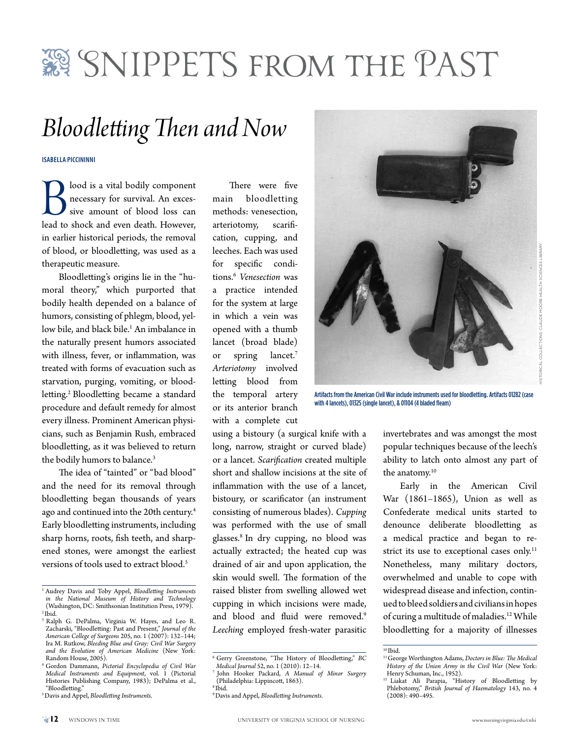# SNIPPETS FROM THE PAST

# *Bloodletting Then and Now*

**Isabella Piccininni**

**B** lood is a vital bodily component<br>
necessary for survival. An exces-<br>
sive amount of blood loss can<br>
lead to shock and even death. However, necessary for survival. An excessive amount of blood loss can in earlier historical periods, the removal of blood, or bloodletting, was used as a therapeutic measure.

Bloodletting's origins lie in the "humoral theory," which purported that bodily health depended on a balance of humors, consisting of phlegm, blood, yellow bile, and black bile.1 An imbalance in the naturally present humors associated with illness, fever, or inflammation, was treated with forms of evacuation such as starvation, purging, vomiting, or bloodletting.<sup>2</sup> Bloodletting became a standard procedure and default remedy for almost every illness. Prominent American physicians, such as Benjamin Rush, embraced bloodletting, as it was believed to return the bodily humors to balance.<sup>3</sup>

The idea of "tainted" or "bad blood" and the need for its removal through bloodletting began thousands of years ago and continued into the 20th century.<sup>4</sup> Early bloodletting instruments, including sharp horns, roots, fish teeth, and sharpened stones, were amongst the earliest versions of tools used to extract blood.<sup>5</sup>

There were five main bloodletting methods: venesection, arteriotomy, scarification, cupping, and leeches. Each was used for specific conditions.6 *Venesection* was a practice intended for the system at large in which a vein was opened with a thumb lancet (broad blade) or spring lancet.<sup>7</sup> *Arteriotomy* involved letting blood from the temporal artery or its anterior branch with a complete cut

using a bistoury (a surgical knife with a long, narrow, straight or curved blade) or a lancet. *Scarification* created multiple short and shallow incisions at the site of inflammation with the use of a lancet, bistoury, or scarificator (an instrument consisting of numerous blades). *Cupping*  was performed with the use of small glasses.8 In dry cupping, no blood was actually extracted; the heated cup was drained of air and upon application, the skin would swell. The formation of the raised blister from swelling allowed wet cupping in which incisions were made, and blood and fluid were removed.<sup>9</sup> *Leeching* employed fresh-water parasitic



Artifacts from the American Civil War include instruments used for bloodletting. Artifacts 01282 (case with 4 lancets), 01325 (single lancet), & 01104 (4 bladed fleam)

invertebrates and was amongst the most popular techniques because of the leech's ability to latch onto almost any part of the anatomy.<sup>10</sup>

Early in the American Civil War (1861–1865), Union as well as Confederate medical units started to denounce deliberate bloodletting as a medical practice and began to restrict its use to exceptional cases only.<sup>11</sup> Nonetheless, many military doctors, overwhelmed and unable to cope with widespread disease and infection, continued to bleed soldiers and civilians in hopes of curing a multitude of maladies.<sup>12</sup> While bloodletting for a majority of illnesses

<sup>1</sup> Audrey Davis and Toby Appel, *Bloodletting Instruments in the National Museum of History and Technology* (Washington, DC: Smithsonian Institution Press, 1979). 2 Ibid.

<sup>3</sup> Ralph G. DePalma, Virginia W. Hayes, and Leo R. Zacharski, "Bloodletting: Past and Present," *Journal of the American College of Surgeons* 205, no. 1 (2007): 132–144; Ira M. Rutkow, *Bleeding Blue and Gray: Civil War Surgery and the Evolution of American Medicine* (New York: Random House, 2005).

<sup>4</sup> Gordon Dammann, *Pictorial Encyclopedia of Civil War Medical Instruments and Equipment*, vol. 1 (Pictorial Histories Publishing Company, 1983); DePalma et al., "Bloodletting."

<sup>5</sup> Davis and Appel, *Bloodletting Instruments*.

<sup>6</sup> Gerry Greenstone, "The History of Bloodletting," *BC Medical Journal* 52, no. 1 (2010): 12–14.

<sup>7</sup> John Hooker Packard, *A Manual of Minor Surgery* (Philadelphia: Lippincott, 1863).

<sup>8</sup> Ibid.

<sup>9</sup> Davis and Appel, *Bloodletting Instruments*.

 $10$  Ibid.

<sup>11</sup> George Worthington Adams, *Doctors in Blue: The Medical History of the Union Army in the Civil War* (New York: Henry Schuman, Inc., 1952).

<sup>&</sup>lt;sup>12</sup> Liakat Ali Parapia, "History of Bloodletting by Phlebotomy," *British Journal of Haematology* 143, no. 4  $(2008): 490 - 495.$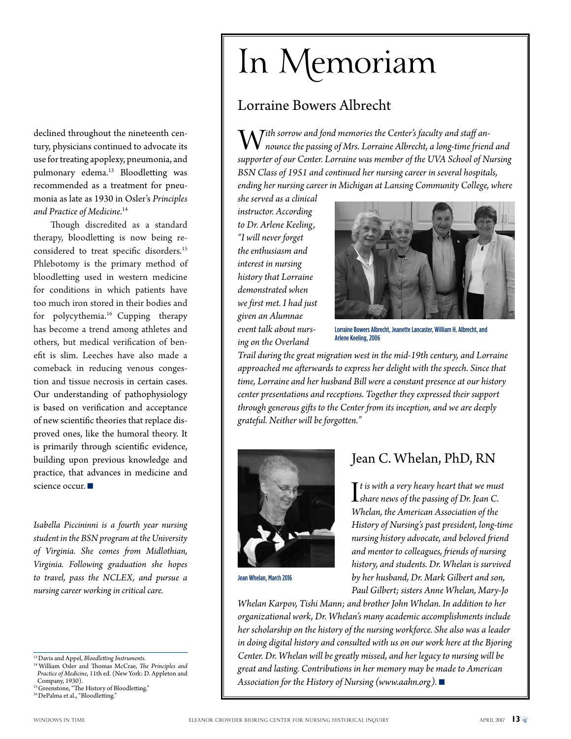declined throughout the nineteenth century, physicians continued to advocate its use for treating apoplexy, pneumonia, and pulmonary edema.<sup>13</sup> Bloodletting was recommended as a treatment for pneumonia as late as 1930 in Osler's *Principles and Practice of Medicine*. 14

Though discredited as a standard therapy, bloodletting is now being reconsidered to treat specific disorders.<sup>15</sup> Phlebotomy is the primary method of bloodletting used in western medicine for conditions in which patients have too much iron stored in their bodies and for polycythemia.16 Cupping therapy has become a trend among athletes and others, but medical verification of benefit is slim. Leeches have also made a comeback in reducing venous congestion and tissue necrosis in certain cases. Our understanding of pathophysiology is based on verification and acceptance of new scientific theories that replace disproved ones, like the humoral theory. It is primarily through scientific evidence, building upon previous knowledge and practice, that advances in medicine and science occur.

*Isabella Piccininni is a fourth year nursing student in the BSN program at the University of Virginia. She comes from Midlothian, Virginia. Following graduation she hopes to travel, pass the NCLEX, and pursue a nursing career working in critical care.*

14 William Osler and Thomas McCrae, *The Principles and Practice of Medicine*, 11th ed. (New York: D. Appleton and Company, 1930).

<sup>15</sup> Greenstone, "The History of Bloodletting." 16 DePalma et al., "Bloodletting."

# In Memoriam

## Lorraine Bowers Albrecht

 $\boldsymbol{M}$  *ith sorrow and fond memories the Center's faculty and staff announce the passing of Mrs. Lorraine Albrecht, a long-time friend and supporter of our Center. Lorraine was member of the UVA School of Nursing BSN Class of 1951 and continued her nursing career in several hospitals, ending her nursing career in Michigan at Lansing Community College, where* 

*she served as a clinical instructor. According to Dr. Arlene Keeling, "I will never forget the enthusiasm and interest in nursing history that Lorraine demonstrated when we first met. I had just given an Alumnae event talk about nursing on the Overland* 



Lorraine Bowers Albrecht, Jeanette Lancaster, William H. Albrecht, and Arlene Keeling, 2006

*Trail during the great migration west in the mid-19th century, and Lorraine approached me afterwards to express her delight with the speech. Since that time, Lorraine and her husband Bill were a constant presence at our history center presentations and receptions. Together they expressed their support through generous gifts to the Center from its inception, and we are deeply grateful. Neither will be forgotten."*



Jean Whelan, March 2016

## Jean C. Whelan, PhD, RN

It is with a very heavy heart that we mus<br>Ishare news of the passing of Dr. Jean C.<br>Whalan the American Accoriation of the *t is with a very heavy heart that we must Whelan, the American Association of the History of Nursing's past president, long-time nursing history advocate, and beloved friend and mentor to colleagues, friends of nursing history, and students. Dr. Whelan is survived by her husband, Dr. Mark Gilbert and son, Paul Gilbert; sisters Anne Whelan, Mary-Jo* 

*Whelan Karpov, Tishi Mann; and brother John Whelan. In addition to her organizational work, Dr. Whelan's many academic accomplishments include her scholarship on the history of the nursing workforce. She also was a leader in doing digital history and consulted with us on our work here at the Bjoring Center. Dr. Whelan will be greatly missed, and her legacy to nursing will be great and lasting. Contributions in her memory may be made to American Association for the History of Nursing (www.aahn.org).* ■

<sup>13</sup> Davis and Appel, *Bloodletting Instruments*.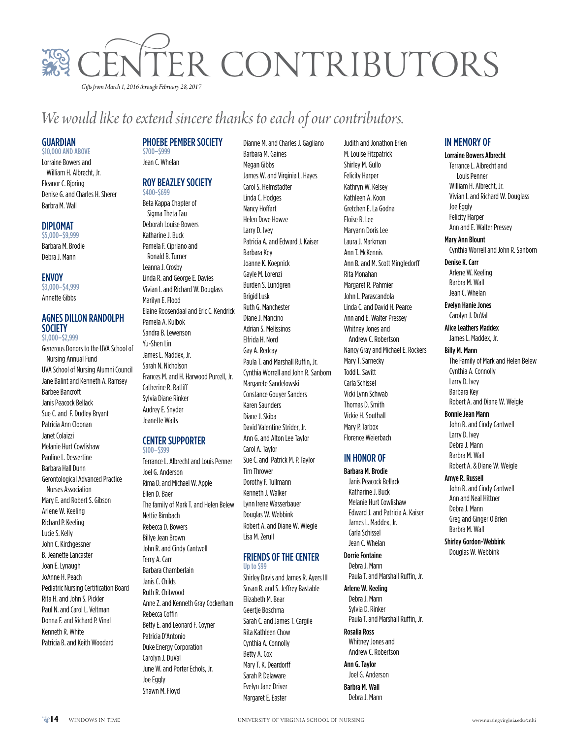

# *We would like to extend sincere thanks to each of our contributors.*

#### **GUARDIAN**

\$10,000 and above Lorraine Bowers and William H. Albrecht, Jr. Eleanor C. Bjoring Denise G. and Charles H. Sherer Barbra M. Wall

#### Diplomat

\$5,000–\$9,999 Barbara M. Brodie Debra J. Mann

#### **ENVOY**

\$3,000–\$4,999 Annette Gibbs

#### Agnes Dillon Randolph **SOCIETY** \$1,000–\$2,999

Generous Donors to the UVA School of Nursing Annual Fund UVA School of Nursing Alumni Council Jane Balint and Kenneth A. Ramsey Barbee Bancroft Janis Peacock Bellack Sue C. and F. Dudley Bryant Patricia Ann Cloonan Janet Colaizzi Melanie Hurt Cowlishaw Pauline L. Dessertine Barbara Hall Dunn Gerontological Advanced Practice Nurses Association Mary E. and Robert S. Gibson Arlene W. Keeling Richard P. Keeling Lucie S. Kelly John C. Kirchgessner B. Jeanette Lancaster Joan E. Lynaugh JoAnne H. Peach Pediatric Nursing Certification Board Rita H. and John S. Pickler Paul N. and Carol L. Veltman Donna F. and Richard P. Vinal Kenneth R. White Patricia B. and Keith Woodard

#### PHOEBE PEMBER SOCIETY

\$700–\$999 Jean C. Whelan

#### Roy Beazley Society \$400-\$699

Beta Kappa Chapter of Sigma Theta Tau Deborah Louise Bowers Katharine J. Buck Pamela F. Cipriano and Ronald B. Turner Leanna J. Crosby Linda R. and George E. Davies Vivian I. and Richard W. Douglass Marilyn E. Flood Elaine Roosendaal and Eric C. Kendrick Pamela A. Kulbok Sandra B. Lewenson Yu-Shen Lin James L. Maddex, Jr. Sarah N. Nicholson Frances M. and H. Harwood Purcell, Jr. Catherine R. Ratliff Sylvia Diane Rinker Audrey E. Snyder Jeanette Waits

#### **CENTER SUPPORTER** \$100–\$399

Terrance L. Albrecht and Louis Penner Joel G. Anderson Rima D. and Michael W. Apple Ellen D. Baer The family of Mark T. and Helen Belew Nettie Birnbach Rebecca D. Bowers Billye Jean Brown John R. and Cindy Cantwell Terry A. Carr Barbara Chamberlain Janis C. Childs Ruth R. Chitwood Anne Z. and Kenneth Gray Cockerham Rebecca Coffin Betty E. and Leonard F. Coyner Patricia D'Antonio Duke Energy Corporation Carolyn J. DuVal June W. and Porter Echols, Jr. Joe Eggly Shawn M. Floyd

Dianne M. and Charles J. Gagliano Barbara M. Gaines Megan Gibbs James W. and Virginia L. Hayes Carol S. Helmstadter Linda C. Hodges Nancy Hoffart Helen Dove Howze Larry D. Ivey Patricia A. and Edward J. Kaiser Barbara Key Joanne K. Koepnick Gayle M. Lorenzi Burden S. Lundgren Brigid Lusk Ruth G. Manchester Diane J. Mancino Adrian S. Melissinos Elfrida H. Nord Gay A. Redcay Paula T. and Marshall Ruffin, Jr. Cynthia Worrell and John R. Sanborn Margarete Sandelowski Constance Gouyer Sanders Karen Saunders Diane J. Skiba David Valentine Strider, Jr. Ann G. and Alton Lee Taylor Carol A. Taylor Sue C. and Patrick M. P. Taylor Tim Thrower Dorothy F. Tullmann Kenneth J. Walker Lynn Irene Wasserbauer Douglas W. Webbink Robert A. and Diane W. Wiegle Lisa M. Zerull

#### Friends of the Center

Up to \$99 Shirley Davis and James R. Ayers III Susan B. and S. Jeffrey Bastable Elizabeth M. Bear Geertje Boschma Sarah C. and James T. Cargile Rita Kathleen Chow Cynthia A. Connolly Betty A. Cox Mary T. K. Deardorff Sarah P. Delaware Evelyn Jane Driver Margaret E. Easter

Judith and Jonathon Erlen M. Louise Fitzpatrick Shirley M. Gullo Felicity Harper Kathryn W. Kelsey Kathleen A. Koon Gretchen E. La Godna Eloise R. Lee Maryann Doris Lee Laura J. Markman Ann T. McKennis Ann B. and M. Scott Mingledorff Rita Monahan Margaret R. Pahmier John L. Parascandola Linda C. and David H. Pearce Ann and E. Walter Pressey Whitney Jones and Andrew C. Robertson Nancy Gray and Michael E. Rockers Mary T. Sarnecky Todd L. Savitt Carla Schissel Vicki Lynn Schwab Thomas D. Smith Vickie H. Southall Mary P. Tarbox Florence Weierbach

#### In Honor Of

Barbara M. Brodie Janis Peacock Bellack Katharine J. Buck Melanie Hurt Cowlishaw Edward J. and Patricia A. Kaiser James L. Maddex, Jr. Carla Schissel Jean C. Whelan

#### Dorrie Fontaine

Debra J. Mann Paula T. and Marshall Ruffin, Jr.

Arlene W. Keeling Debra J. Mann Sylvia D. Rinker Paula T. and Marshall Ruffin, Jr.

Rosalia Ross Whitney Jones and Andrew C. Robertson

Ann G. Taylor Joel G. Anderson Barbra M. Wall

Debra J. Mann

#### In Memory Of

Lorraine Bowers Albrecht Terrance L. Albrecht and Louis Penner William H. Albrecht, Jr. Vivian I. and Richard W. Douglass Joe Eggly Felicity Harper Ann and E. Walter Pressey

#### Mary Ann Blount

Cynthia Worrell and John R. Sanborn

Denise K. Carr Arlene W. Keeling Barbra M. Wall Jean C. Whelan

Evelyn Hanie Jones Carolyn J. DuVal

Alice Leathers Maddex James L. Maddex, Jr.

Billy M. Mann The Family of Mark and Helen Belew

Cynthia A. Connolly Larry D. Ivey Barbara Key Robert A. and Diane W. Weigle

Bonnie Jean Mann John R. and Cindy Cantwell

Larry D. Ivey Debra J. Mann Barbra M. Wall Robert A. & Diane W. Weigle

Amye R. Russell

John R. and Cindy Cantwell Ann and Neal Hittner Debra J. Mann Greg and Ginger O'Brien Barbra M. Wall

Shirley Gordon-Webbink Douglas W. Webbink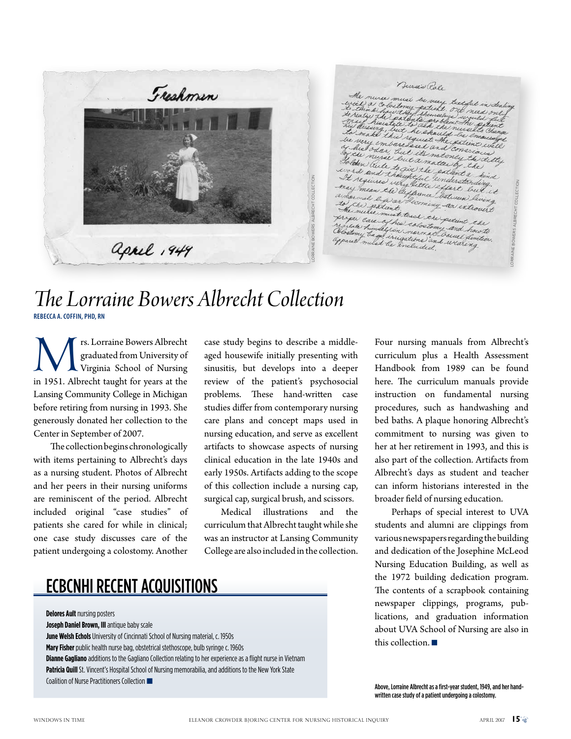

Dursis Rale ust be very last ful in deal<br>boxy patient one need only<br>they shemalued way it only how they themselves would the he shaw quest the gates red an but a natur auch to give the path and thoughtful einderstand required wery little einderer mean the life little effort<br>mean the life unce littles<br>mal life or the Lorraine Bowers Albrecht Collectional life or becoming an introvert he multe must teach the patient the oroger care must teach the patient the<br>evitate hunder in caloctomy and haw to<br>Hostomy the US narmal bar regulate him all find calculations factured how to<br>Obsetomy that I in narmal Sauvel how to<br>Upsuil mulat the included

# *The Lorraine Bowers Albrecht Collection*  **Rebecca A. Coffin, PhD, RN**

IST IST ISLAM THE MANUSTER ALBrecht Graduated from University of Virginia School of Nursing in 1951. Albrecht taught for years at the graduated from University of Virginia School of Nursing Lansing Community College in Michigan before retiring from nursing in 1993. She generously donated her collection to the Center in September of 2007.

The collection begins chronologically with items pertaining to Albrecht's days as a nursing student. Photos of Albrecht and her peers in their nursing uniforms are reminiscent of the period. Albrecht included original "case studies" of patients she cared for while in clinical; one case study discusses care of the patient undergoing a colostomy. Another

case study begins to describe a middleaged housewife initially presenting with sinusitis, but develops into a deeper review of the patient's psychosocial problems. These hand-written case studies differ from contemporary nursing care plans and concept maps used in nursing education, and serve as excellent artifacts to showcase aspects of nursing clinical education in the late 1940s and early 1950s. Artifacts adding to the scope of this collection include a nursing cap, surgical cap, surgical brush, and scissors.

Medical illustrations and the curriculum that Albrecht taught while she was an instructor at Lansing Community College are also included in the collection.

# ECBCNHI Recent Acquisitions

**Delores Ault** nursing posters **Joseph Daniel Brown, III** antique baby scale **June Welsh Echols** University of Cincinnati School of Nursing material, c. 1950s **Mary Fisher** public health nurse bag, obstetrical stethoscope, bulb syringe c. 1960s **Dianne Gagliano** additions to the Gagliano Collection relating to her experience as a flight nurse in Vietnam Patricia Quill St. Vincent's Hospital School of Nursing memorabilia, and additions to the New York State Coalition of Nurse Practitioners Collection

Four nursing manuals from Albrecht's curriculum plus a Health Assessment Handbook from 1989 can be found here. The curriculum manuals provide instruction on fundamental nursing procedures, such as handwashing and bed baths. A plaque honoring Albrecht's commitment to nursing was given to her at her retirement in 1993, and this is also part of the collection. Artifacts from Albrecht's days as student and teacher can inform historians interested in the broader field of nursing education.

Perhaps of special interest to UVA students and alumni are clippings from various newspapers regarding the building and dedication of the Josephine McLeod Nursing Education Building, as well as the 1972 building dedication program. The contents of a scrapbook containing newspaper clippings, programs, publications, and graduation information about UVA School of Nursing are also in this collection.  $\blacksquare$ 

Above, Lorraine Albrecht as a first-year student, 1949, and her handwritten case study of a patient undergoing a colostomy.